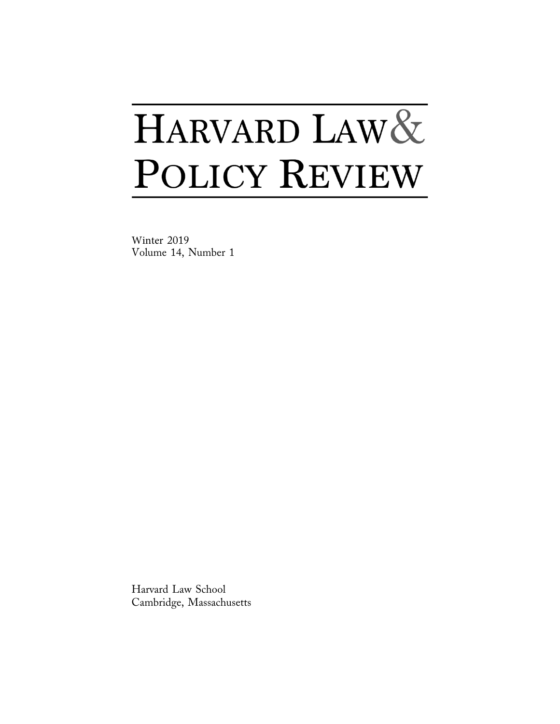# HARVARD LAW& POLICY REVIEW

Winter 2019 Volume 14, Number 1

Harvard Law School Cambridge, Massachusetts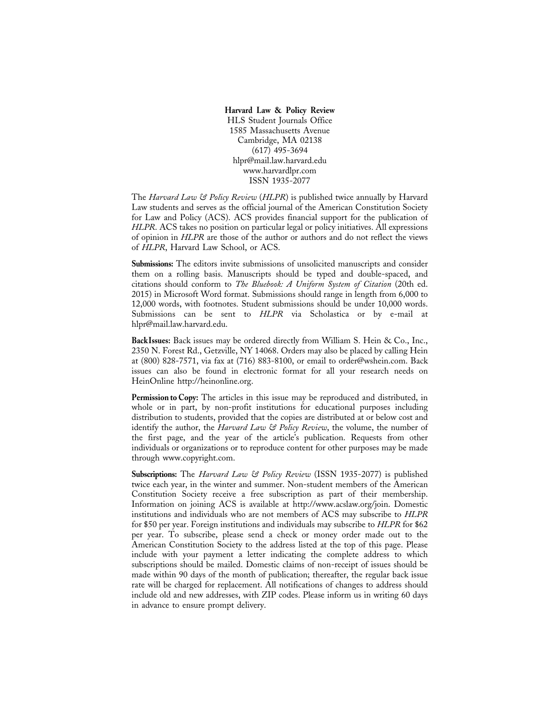#### Harvard Law & Policy Review

HLS Student Journals Office 1585 Massachusetts Avenue Cambridge, MA 02138  $(617)$  495-3694 hlpr@mail.law.harvard.edu www.harvardlpr.com ISSN 1935-2077

The *Harvard Law & Policy Review* (HLPR) is published twice annually by Harvard Law students and serves as the official journal of the American Constitution Society for Law and Policy (ACS). ACS provides financial support for the publication of HLPR. ACS takes no position on particular legal or policy initiatives. All expressions of opinion in HLPR are those of the author or authors and do not reflect the views of HLPR, Harvard Law School, or ACS.

Submissions: The editors invite submissions of unsolicited manuscripts and consider them on a rolling basis. Manuscripts should be typed and double-spaced, and citations should conform to The Bluebook: A Uniform System of Citation (20th ed. 2015) in Microsoft Word format. Submissions should range in length from 6,000 to 12,000 words, with footnotes. Student submissions should be under 10,000 words. Submissions can be sent to HLPR via Scholastica or by e-mail at hlpr@mail.law.harvard.edu.

BackIssues: Back issues may be ordered directly from William S. Hein & Co., Inc., 2350 N. Forest Rd., Getzville, NY 14068. Orders may also be placed by calling Hein at (800) 828-7571, via fax at (716) 883-8100, or email to order@wshein.com. Back issues can also be found in electronic format for all your research needs on HeinOnline http://heinonline.org.

Permission to Copy: The articles in this issue may be reproduced and distributed, in whole or in part, by non-profit institutions for educational purposes including distribution to students, provided that the copies are distributed at or below cost and identify the author, the Harvard Law & Policy Review, the volume, the number of the first page, and the year of the article's publication. Requests from other individuals or organizations or to reproduce content for other purposes may be made through www.copyright.com.

**Subscriptions:** The *Harvard Law & Policy Review* (ISSN 1935-2077) is published twice each year, in the winter and summer. Non-student members of the American Constitution Society receive a free subscription as part of their membership. Information on joining ACS is available at http://www.acslaw.org/join. Domestic institutions and individuals who are not members of ACS may subscribe to HLPR for \$50 per year. Foreign institutions and individuals may subscribe to HLPR for \$62 per year. To subscribe, please send a check or money order made out to the American Constitution Society to the address listed at the top of this page. Please include with your payment a letter indicating the complete address to which subscriptions should be mailed. Domestic claims of non-receipt of issues should be made within 90 days of the month of publication; thereafter, the regular back issue rate will be charged for replacement. All notifications of changes to address should include old and new addresses, with ZIP codes. Please inform us in writing 60 days in advance to ensure prompt delivery.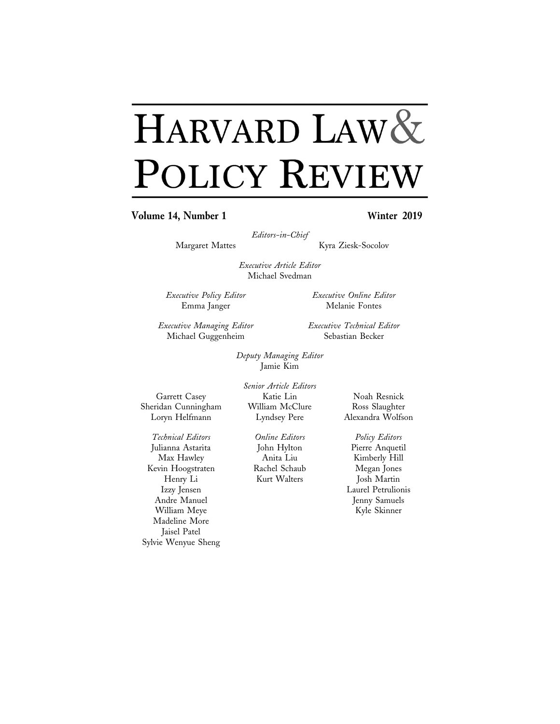## HARVARD LAW& POLICY REVIEW

Volume 14, Number 1

## Winter 2019

Editors-in-Chief

Margaret Mattes

Kyra Ziesk-Socolov

Executive Article Editor Michael Svedman

Executive Policy Editor Emma Janger

Executive Managing Editor Michael Guggenheim

Executive Technical Editor Sebastian Becker

Executive Online Editor

Melanie Fontes

Deputy Managing Editor

Garrett Casey Sheridan Cunningham Loryn Helfmann

Katie Lin William McClure Lyndsey Pere

**Online Editors** John Hylton Anita Liu Rachel Schaub Kurt Walters

Noah Resnick Ross Slaughter Alexandra Wolfson

Policy Editors Pierre Anquetil Kimberly Hill Megan Jones Josh Martin Laurel Petrulionis Jenny Samuels Kyle Skinner

Technical Editors Julianna Astarita Max Hawley Kevin Hoogstraten Henry Li Izzy Jensen Andre Manuel William Meye Madeline More Jaisel Patel Sylvie Wenyue Sheng

Jamie Kim Senior Article Editors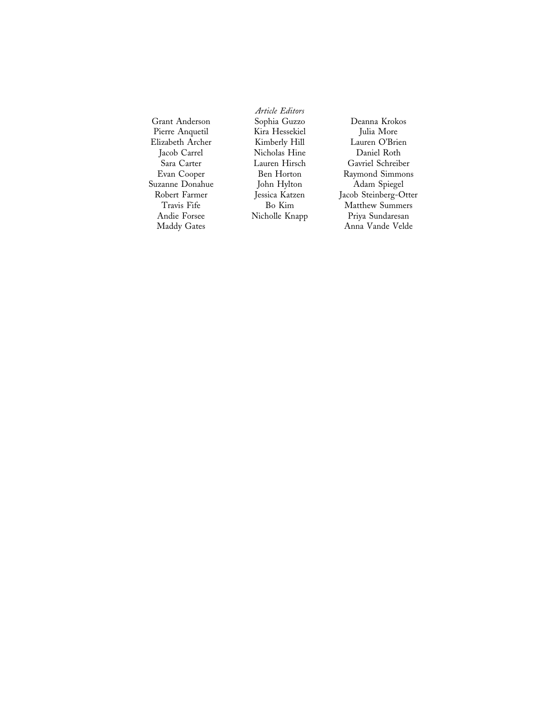Grant Anderson Pierre Anquetil Elizabeth Archer Jacob Carrel Sara Carter Evan Cooper Suzanne Donahue Robert Farmer Travis Fife Andie Forsee Maddy Gates

Article Editors Sophia Guzzo Kira Hessekiel Kimberly Hill Nicholas Hine Lauren Hirsch Ben Horton John Hylton Jessica Katzen  $\rm Bo$   $\rm Kim$ Nicholle Knapp

Deanna Krokos Julia More Lauren O'Brien Daniel Roth Gavriel Schreiber Raymond Simmons Adam Spiegel Jacob Steinberg-Otter Matthew Summers Priya Sundaresan Anna Vande Velde